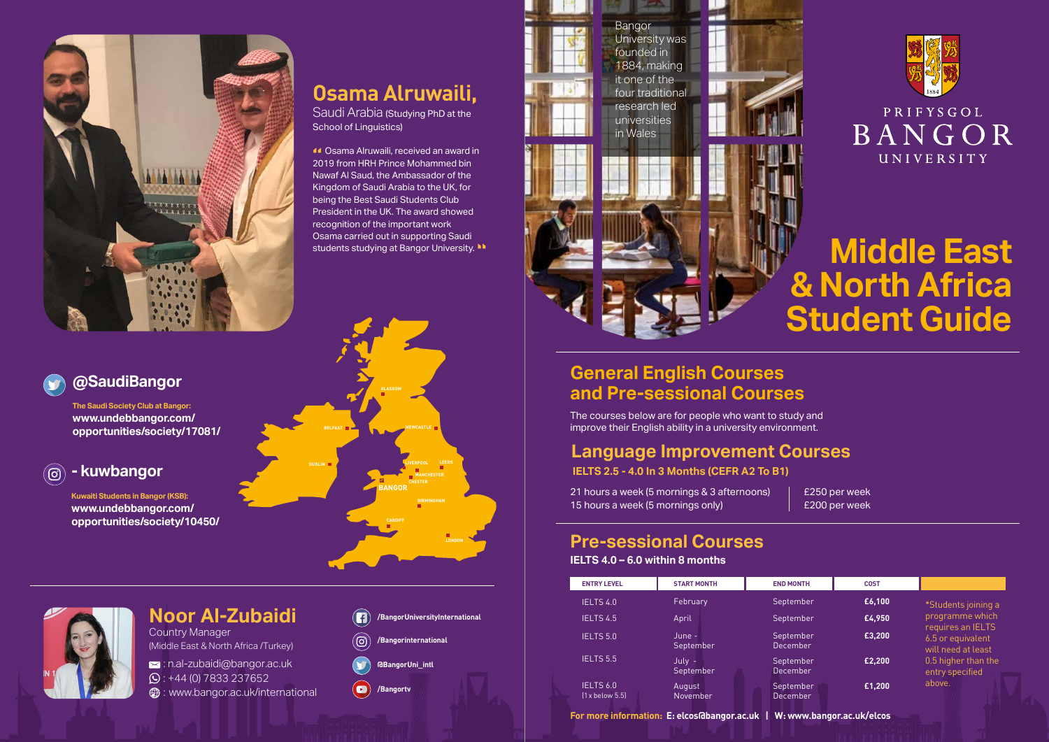

## **Osama Alruwaili,**

Saudi Arabia (Studying PhD at the School of Linguistics)

 Osama Alruwaili, received an award in **44** Osama Alruwaili, received an award i<br>2019 from HRH Prince Mohammed bin Nawaf Al Saud, the Ambassador of the Kingdom of Saudi Arabia to the UK, for being the Best Saudi Students Club President in the UK. The award showed recognition of the important work Osama carried out in supporting Saudi students studying at Bangor University. **"**

### **@SaudiBangor**

**The Saudi Society Club at Bangor: www.undebbangor.com/ opportunities/society/17081/**

#### **- kuwbangor**

(ම)

**Kuwaiti Students in Bangor (KSB): www.undebbangor.com/ opportunities/society/10450/**



## **Noor Al-Zubaidi**

Country Manager (Middle East & North Africa /Turkey)

: n.al-zubaidi@bangor.ac.uk

 $\odot$ : +44 (0) 7833 237652

**<sup>43</sup>:** www.bangor.ac.uk/international



(ര)

**@BangorUni\_intl**

 $\left( \blacksquare \right)$ **/Bangortv**





# **Middle East & North Africa Student Guide**

### **General English Courses and Pre-sessional Courses**

The courses below are for people who want to study and improve their English ability in a university environment.

### **Language Improvement Courses**

**IELTS 2.5 - 4.0 In 3 Months (CEFR A2 To B1)**

21 hours a week (5 mornings & 3 afternoons) 15 hours a week (5 mornings only)

£250 per week £200 per week

#### **Pre-sessional Courses IELTS 4.0 – 6.0 within 8 months**

| <b>ENTRY LEVEL</b>              | <b>START MONTH</b>  | <b>END MONTH</b>      | COST   |                                                              |
|---------------------------------|---------------------|-----------------------|--------|--------------------------------------------------------------|
| IELTS 4.0                       | February            | September             | £6,100 | *Students joining a                                          |
| IELTS 4.5                       | April               | September             | £4.950 | programme which                                              |
| IELTS 5.0                       | June -<br>September | September<br>December | £3,200 | requires an IELTS<br>6.5 or equivalent<br>will need at least |
| IELTS 5.5                       | July -<br>September | September<br>December | £2,200 | 0.5 higher than the<br>entry specified                       |
| IELTS 6.0<br>$[1x$ below $5.5]$ | August<br>November  | September<br>December | £1,200 | above.                                                       |

**For more information: E: elcos@bangor.ac.uk | W: www.bangor.ac.uk/elcos**